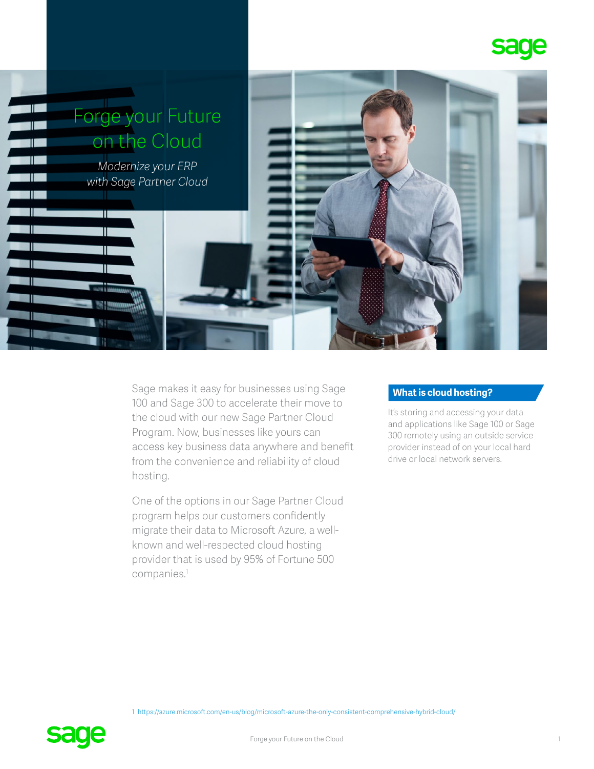



Sage makes it easy for businesses using Sage 100 and Sage 300 to accelerate their move to the cloud with our new Sage Partner Cloud Program. Now, businesses like yours can access key business data anywhere and benefit from the convenience and reliability of cloud hosting.

One of the options in our Sage Partner Cloud program helps our customers confidently migrate their data to Microsoft Azure, a wellknown and well-respected cloud hosting provider that is used by 95% of Fortune 500 companies.1

# **What is cloud hosting?**

It's storing and accessing your data and applications like Sage 100 or Sage 300 remotely using an outside service provider instead of on your local hard drive or local network servers.

1 [https://azure.microsoft.com/en-us/blog/microsoft-azure-the-only-consistent-comprehensive-hybrid-cloud/](https://azure.microsoft.com/en-us/blog/microsoft-azure-the-only-consistent-comprehensive-hybrid-clou)